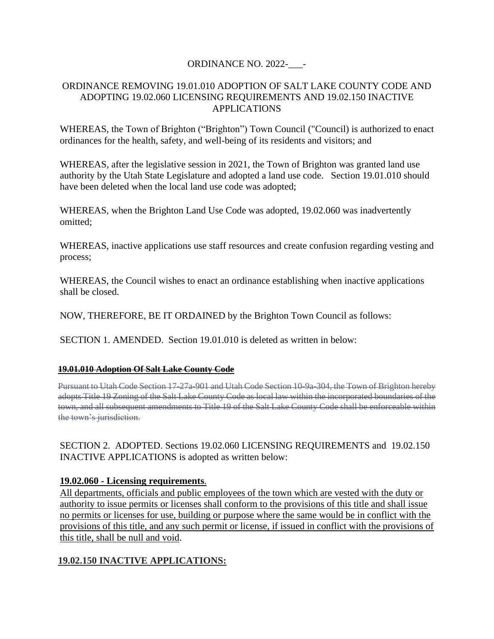## ORDINANCE NO. 2022-

#### ORDINANCE REMOVING 19.01.010 ADOPTION OF SALT LAKE COUNTY CODE AND ADOPTING 19.02.060 LICENSING REQUIREMENTS AND 19.02.150 INACTIVE APPLICATIONS

WHEREAS, the Town of Brighton ("Brighton") Town Council ("Council) is authorized to enact ordinances for the health, safety, and well-being of its residents and visitors; and

WHEREAS, after the legislative session in 2021, the Town of Brighton was granted land use authority by the Utah State Legislature and adopted a land use code. Section 19.01.010 should have been deleted when the local land use code was adopted;

WHEREAS, when the Brighton Land Use Code was adopted, 19.02.060 was inadvertently omitted;

WHEREAS, inactive applications use staff resources and create confusion regarding vesting and process;

WHEREAS, the Council wishes to enact an ordinance establishing when inactive applications shall be closed.

NOW, THEREFORE, BE IT ORDAINED by the Brighton Town Council as follows:

SECTION 1. AMENDED. Section 19.01.010 is deleted as written in below:

#### **[19.01.010 Adoption Of Salt Lake County Code](https://brighton.municipalcodeonline.com/book?type=ordinances#name=19.01.010_Adoption_Of_Salt_Lake_County_Code)**

Pursuant to Utah Code Section 17-27a-901 and Utah Code Section 10-9a-304, the Town of Brighton hereby adopts Title 19 Zoning of the Salt Lake County Code as local law within the incorporated boundaries of the town, and all subsequent amendments to Title 19 of the Salt Lake County Code shall be enforceable within the town's jurisdiction.

SECTION 2. ADOPTED. Sections 19.02.060 LICENSING REQUIREMENTS and 19.02.150 INACTIVE APPLICATIONS is adopted as written below:

## **19.02.060 - Licensing requirements**.

All departments, officials and public employees of the town which are vested with the duty or authority to issue permits or licenses shall conform to the provisions of this title and shall issue no permits or licenses for use, building or purpose where the same would be in conflict with the provisions of this title, and any such permit or license, if issued in conflict with the provisions of this title, shall be null and void.

## **19.02.150 INACTIVE APPLICATIONS:**